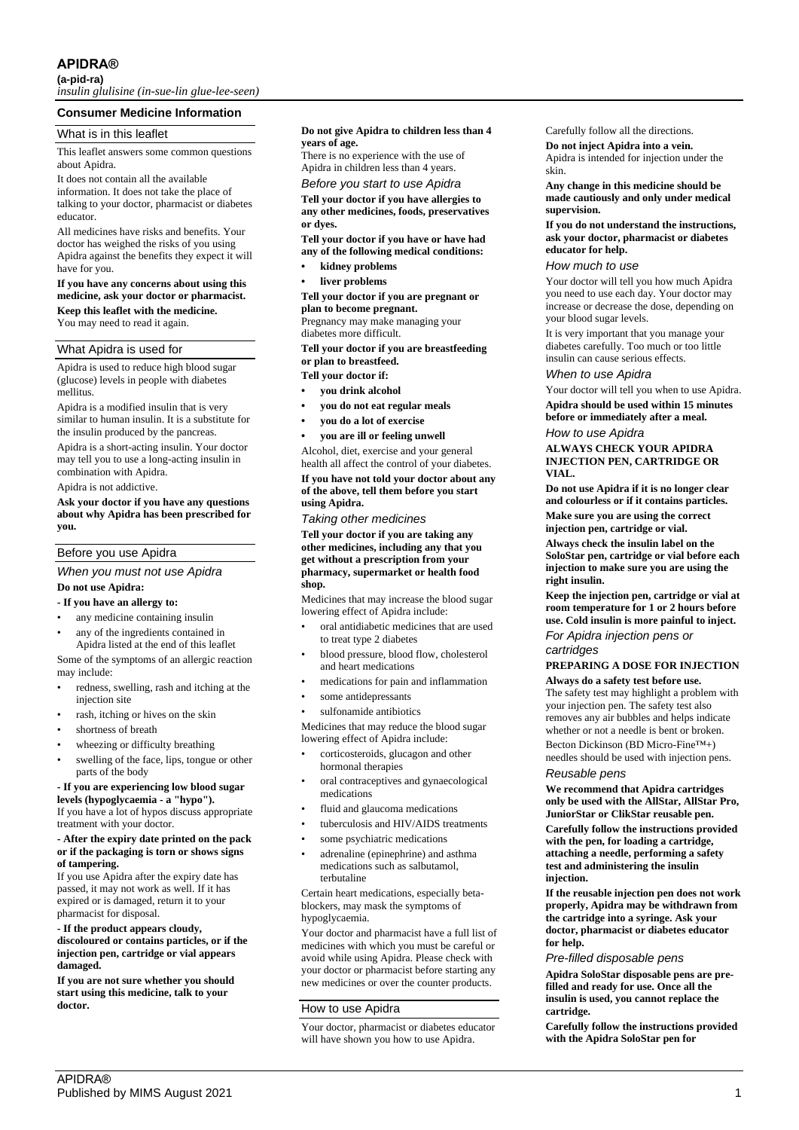## **APIDRA®**

**(a-pid-ra)**

*insulin glulisine (in-sue-lin glue-lee-seen)*

## **Consumer Medicine Information**

## What is in this leaflet

This leaflet answers some common questions about Apidra.

It does not contain all the available information. It does not take the place of talking to your doctor, pharmacist or diabetes educator.

All medicines have risks and benefits. Your doctor has weighed the risks of you using Apidra against the benefits they expect it will have for you.

## **If you have any concerns about using this medicine, ask your doctor or pharmacist. Keep this leaflet with the medicine.**

You may need to read it again.

## What Apidra is used for

Apidra is used to reduce high blood sugar (glucose) levels in people with diabetes mellitus.

Apidra is a modified insulin that is very similar to human insulin. It is a substitute for the insulin produced by the pancreas.

Apidra is a short-acting insulin. Your doctor may tell you to use a long-acting insulin in combination with Apidra.

Apidra is not addictive.

**Ask your doctor if you have any questions about why Apidra has been prescribed for you.**

## Before you use Apidra

## *When you must not use Apidra* **Do not use Apidra:**

## **- If you have an allergy to:**

- any medicine containing insulin
- any of the ingredients contained in Apidra listed at the end of this leaflet

Some of the symptoms of an allergic reaction may include:

- redness, swelling, rash and itching at the injection site
- rash, itching or hives on the skin
- shortness of breath

wheezing or difficulty breathing

swelling of the face, lips, tongue or other parts of the body

#### **- If you are experiencing low blood sugar levels (hypoglycaemia - a "hypo").**

If you have a lot of hypos discuss appropriate treatment with your doctor.

#### **- After the expiry date printed on the pack or if the packaging is torn or shows signs of tampering.**

If you use Apidra after the expiry date has passed, it may not work as well. If it has expired or is damaged, return it to your pharmacist for disposal.

#### **- If the product appears cloudy,**

**discoloured or contains particles, or if the injection pen, cartridge or vial appears damaged.**

**If you are not sure whether you should start using this medicine, talk to your doctor.**

#### **Do not give Apidra to children less than 4 years of age.**

There is no experience with the use of Apidra in children less than 4 years.

## *Before you start to use Apidra*

**Tell your doctor if you have allergies to any other medicines, foods, preservatives or dyes.**

**Tell your doctor if you have or have had any of the following medical conditions:**

- **• kidney problems**
- **• liver problems**

**Tell your doctor if you are pregnant or plan to become pregnant.**

Pregnancy may make managing your diabetes more difficult.

**Tell your doctor if you are breastfeeding or plan to breastfeed.**

## **Tell your doctor if:**

- **• you drink alcohol**
- **• you do not eat regular meals**
- **• you do a lot of exercise**
- **• you are ill or feeling unwell**

Alcohol, diet, exercise and your general health all affect the control of your diabetes.

**If you have not told your doctor about any of the above, tell them before you start using Apidra.**

*Taking other medicines*

**Tell your doctor if you are taking any other medicines, including any that you get without a prescription from your pharmacy, supermarket or health food shop.**

Medicines that may increase the blood sugar lowering effect of Apidra include:

- oral antidiabetic medicines that are used to treat type 2 diabetes
- blood pressure, blood flow, cholesterol and heart medications
- medications for pain and inflammation
- some antidepressants
- sulfonamide antibiotics

Medicines that may reduce the blood sugar lowering effect of Apidra include:

- corticosteroids, glucagon and other hormonal therapies
- oral contraceptives and gynaecological medications
- fluid and glaucoma medications
- tuberculosis and HIV/AIDS treatments
- some psychiatric medications
- adrenaline (epinephrine) and asthma medications such as salbutamol, terbutaline

Certain heart medications, especially betablockers, may mask the symptoms of hypoglycaemia.

Your doctor and pharmacist have a full list of medicines with which you must be careful or avoid while using Apidra. Please check with your doctor or pharmacist before starting any new medicines or over the counter products.

## How to use Apidra

Your doctor, pharmacist or diabetes educator will have shown you how to use Apidra.

## Carefully follow all the directions.

**Do not inject Apidra into a vein.** Apidra is intended for injection under the skin.

**Any change in this medicine should be made cautiously and only under medical supervision.**

**If you do not understand the instructions, ask your doctor, pharmacist or diabetes educator for help.**

#### *How much to use*

Your doctor will tell you how much Apidra you need to use each day. Your doctor may increase or decrease the dose, depending on your blood sugar levels.

It is very important that you manage your diabetes carefully. Too much or too little insulin can cause serious effects.

## *When to use Apidra*

Your doctor will tell you when to use Apidra. **Apidra should be used within 15 minutes before or immediately after a meal.**

*How to use Apidra*

## **ALWAYS CHECK YOUR APIDRA INJECTION PEN, CARTRIDGE OR VIAL.**

**Do not use Apidra if it is no longer clear and colourless or if it contains particles. Make sure you are using the correct injection pen, cartridge or vial.**

**Always check the insulin label on the SoloStar pen, cartridge or vial before each injection to make sure you are using the right insulin.**

**Keep the injection pen, cartridge or vial at room temperature for 1 or 2 hours before use. Cold insulin is more painful to inject.** *For Apidra injection pens or* 

## *cartridges*

# **PREPARING A DOSE FOR INJECTION**

**Always do a safety test before use.** The safety test may highlight a problem with your injection pen. The safety test also removes any air bubbles and helps indicate whether or not a needle is bent or broken. Becton Dickinson (BD Micro-Fine™+)

needles should be used with injection pens.

## *Reusable pens*

**We recommend that Apidra cartridges only be used with the AllStar, AllStar Pro, JuniorStar or ClikStar reusable pen.**

**Carefully follow the instructions provided with the pen, for loading a cartridge, attaching a needle, performing a safety test and administering the insulin injection.**

**If the reusable injection pen does not work properly, Apidra may be withdrawn from the cartridge into a syringe. Ask your doctor, pharmacist or diabetes educator for help.**

## *Pre-filled disposable pens*

**Apidra SoloStar disposable pens are prefilled and ready for use. Once all the insulin is used, you cannot replace the cartridge.**

**Carefully follow the instructions provided with the Apidra SoloStar pen for**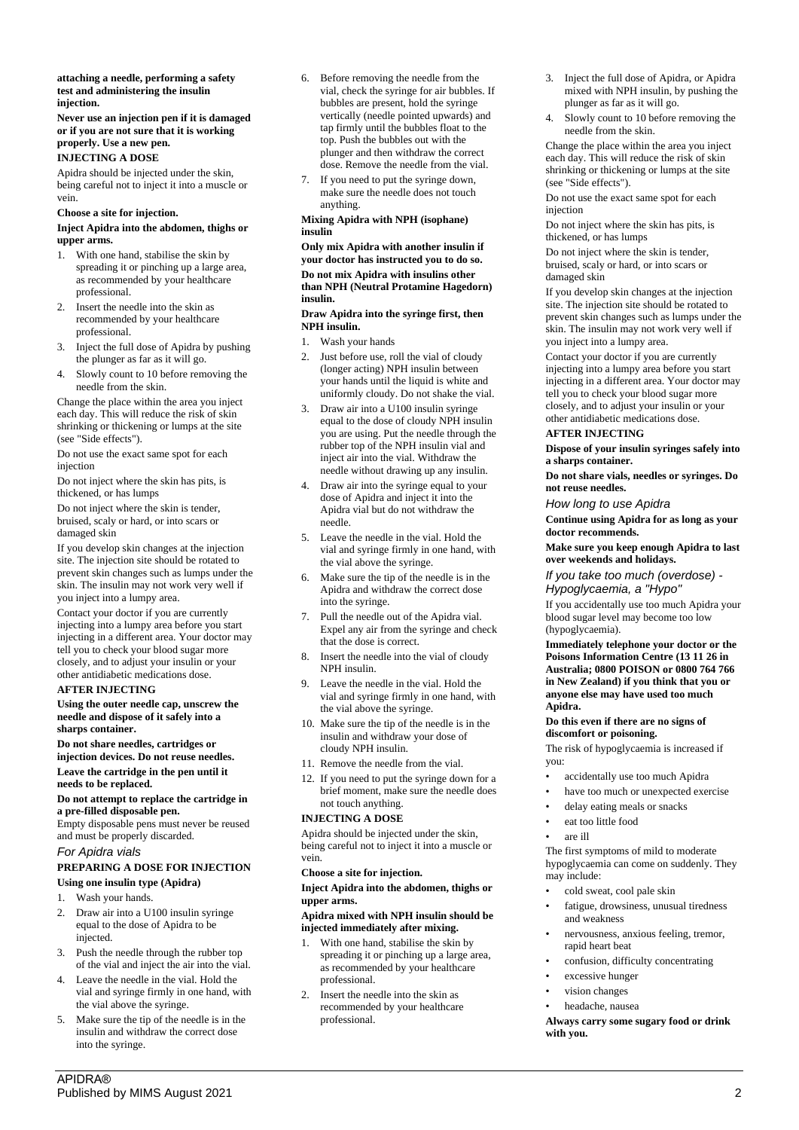#### **attaching a needle, performing a safety test and administering the insulin injection.**

**Never use an injection pen if it is damaged or if you are not sure that it is working properly. Use a new pen. INJECTING A DOSE**

Apidra should be injected under the skin, being careful not to inject it into a muscle or vein.

## **Choose a site for injection.**

#### **Inject Apidra into the abdomen, thighs or upper arms.**

- 1. With one hand, stabilise the skin by spreading it or pinching up a large area, as recommended by your healthcare professional.
- 2. Insert the needle into the skin as recommended by your healthcare professional.
- 3. Inject the full dose of Apidra by pushing the plunger as far as it will go.
- 4. Slowly count to 10 before removing the needle from the skin.

Change the place within the area you inject each day. This will reduce the risk of skin shrinking or thickening or lumps at the site (see "Side effects").

Do not use the exact same spot for each injection

Do not inject where the skin has pits, is thickened, or has lumps

Do not inject where the skin is tender, bruised, scaly or hard, or into scars or damaged skin

If you develop skin changes at the injection site. The injection site should be rotated to prevent skin changes such as lumps under the skin. The insulin may not work very well if you inject into a lumpy area.

Contact your doctor if you are currently injecting into a lumpy area before you start injecting in a different area. Your doctor may tell you to check your blood sugar more closely, and to adjust your insulin or your other antidiabetic medications dose.

## **AFTER INJECTING**

**Using the outer needle cap, unscrew the needle and dispose of it safely into a sharps container.**

**Do not share needles, cartridges or** 

## **injection devices. Do not reuse needles. Leave the cartridge in the pen until it**

**needs to be replaced.**

## **Do not attempt to replace the cartridge in a pre-filled disposable pen.**

Empty disposable pens must never be reused and must be properly discarded.

## *For Apidra vials*

# **PREPARING A DOSE FOR INJECTION**

# **Using one insulin type (Apidra)**

- 1. Wash your hands.
- 2. Draw air into a U100 insulin syringe equal to the dose of Apidra to be injected.
- 3. Push the needle through the rubber top of the vial and inject the air into the vial.
- 4. Leave the needle in the vial. Hold the vial and syringe firmly in one hand, with the vial above the syringe.
- 5. Make sure the tip of the needle is in the insulin and withdraw the correct dose into the syringe.
- 6. Before removing the needle from the vial, check the syringe for air bubbles. If bubbles are present, hold the syringe vertically (needle pointed upwards) and tap firmly until the bubbles float to the top. Push the bubbles out with the plunger and then withdraw the correct dose. Remove the needle from the vial.
- 7. If you need to put the syringe down, make sure the needle does not touch anything.

## **Mixing Apidra with NPH (isophane) insulin**

**Only mix Apidra with another insulin if your doctor has instructed you to do so. Do not mix Apidra with insulins other than NPH (Neutral Protamine Hagedorn) insulin.**

#### **Draw Apidra into the syringe first, then NPH insulin.**

- 1. Wash your hands
- 2. Just before use, roll the vial of cloudy (longer acting) NPH insulin between your hands until the liquid is white and uniformly cloudy. Do not shake the vial.
- 3. Draw air into a U100 insulin syringe equal to the dose of cloudy NPH insulin you are using. Put the needle through the rubber top of the NPH insulin vial and inject air into the vial. Withdraw the needle without drawing up any insulin.
- 4. Draw air into the syringe equal to your dose of Apidra and inject it into the Apidra vial but do not withdraw the needle.
- 5. Leave the needle in the vial. Hold the vial and syringe firmly in one hand, with the vial above the syringe.
- 6. Make sure the tip of the needle is in the Apidra and withdraw the correct dose into the syringe.
- 7. Pull the needle out of the Apidra vial. Expel any air from the syringe and check that the dose is correct.
- 8. Insert the needle into the vial of cloudy NPH insulin.
- 9. Leave the needle in the vial. Hold the vial and syringe firmly in one hand, with the vial above the syringe.
- 10. Make sure the tip of the needle is in the insulin and withdraw your dose of cloudy NPH insulin.
- 11. Remove the needle from the vial.
- 12. If you need to put the syringe down for a brief moment, make sure the needle does not touch anything.

## **INJECTING A DOSE**

Apidra should be injected under the skin, being careful not to inject it into a muscle or vein.

## **Choose a site for injection.**

**Inject Apidra into the abdomen, thighs or upper arms.**

## **Apidra mixed with NPH insulin should be injected immediately after mixing.**

- 1. With one hand, stabilise the skin by spreading it or pinching up a large area, as recommended by your healthcare professional.
- 2. Insert the needle into the skin as recommended by your healthcare professional.
- 3. Inject the full dose of Apidra, or Apidra mixed with NPH insulin, by pushing the plunger as far as it will go.
- 4. Slowly count to 10 before removing the needle from the skin.

Change the place within the area you inject each day. This will reduce the risk of skin shrinking or thickening or lumps at the site (see "Side effects").

Do not use the exact same spot for each injection

Do not inject where the skin has pits, is thickened, or has lumps

Do not inject where the skin is tender, bruised, scaly or hard, or into scars or damaged skin

If you develop skin changes at the injection site. The injection site should be rotated to prevent skin changes such as lumps under the skin. The insulin may not work very well if you inject into a lumpy area.

Contact your doctor if you are currently injecting into a lumpy area before you start injecting in a different area. Your doctor may tell you to check your blood sugar more closely, and to adjust your insulin or your other antidiabetic medications dose.

## **AFTER INJECTING**

**Dispose of your insulin syringes safely into a sharps container.**

**Do not share vials, needles or syringes. Do not reuse needles.**

*How long to use Apidra*

**Continue using Apidra for as long as your doctor recommends.**

**Make sure you keep enough Apidra to last over weekends and holidays.**

*If you take too much (overdose) - Hypoglycaemia, a "Hypo"*

If you accidentally use too much Apidra your blood sugar level may become too low (hypoglycaemia).

**Immediately telephone your doctor or the Poisons Information Centre (13 11 26 in Australia; 0800 POISON or 0800 764 766 in New Zealand) if you think that you or anyone else may have used too much Apidra.**

## **Do this even if there are no signs of discomfort or poisoning.**

The risk of hypoglycaemia is increased if you:

- accidentally use too much Apidra
- have too much or unexpected exercise
- delay eating meals or snacks
- eat too little food
	- are ill

The first symptoms of mild to moderate hypoglycaemia can come on suddenly. They may include:

- cold sweat, cool pale skin
- fatigue, drowsiness, unusual tiredness and weakness • nervousness, anxious feeling, tremor,
- rapid heart beat
- confusion, difficulty concentrating
- excessive hunger
- vision changes
- headache, nausea

**Always carry some sugary food or drink with you.**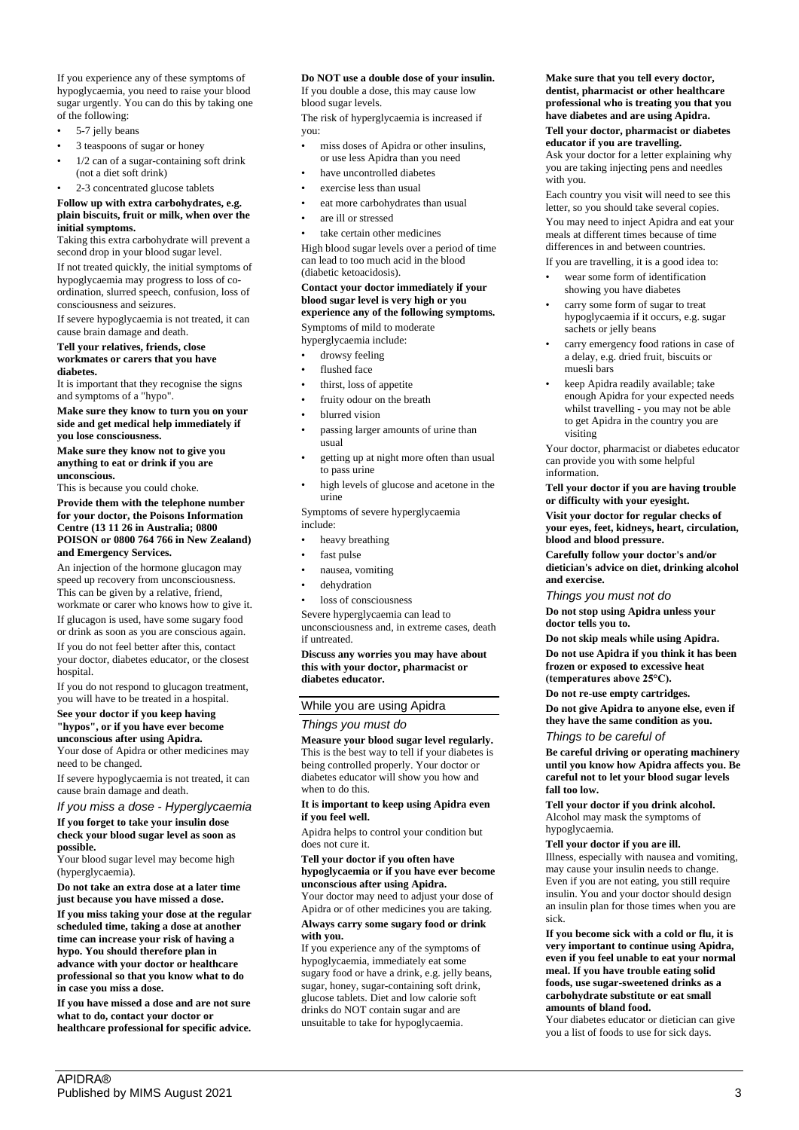If you experience any of these symptoms of hypoglycaemia, you need to raise your blood sugar urgently. You can do this by taking one of the following:

- 5-7 jelly beans
- 3 teaspoons of sugar or honey
- 1/2 can of a sugar-containing soft drink (not a diet soft drink)
- 2-3 concentrated glucose tablets

#### **Follow up with extra carbohydrates, e.g. plain biscuits, fruit or milk, when over the initial symptoms.**

Taking this extra carbohydrate will prevent a second drop in your blood sugar level.

If not treated quickly, the initial symptoms of hypoglycaemia may progress to loss of coordination, slurred speech, confusion, loss of consciousness and seizures.

If severe hypoglycaemia is not treated, it can cause brain damage and death.

#### **Tell your relatives, friends, close workmates or carers that you have diabetes.**

It is important that they recognise the signs and symptoms of a "hypo".

**Make sure they know to turn you on your side and get medical help immediately if you lose consciousness.**

**Make sure they know not to give you anything to eat or drink if you are unconscious.**

This is because you could choke.

**Provide them with the telephone number for your doctor, the Poisons Information Centre (13 11 26 in Australia; 0800 POISON or 0800 764 766 in New Zealand) and Emergency Services.**

An injection of the hormone glucagon may speed up recovery from unconsciousness. This can be given by a relative, friend, workmate or carer who knows how to give it.

If glucagon is used, have some sugary food or drink as soon as you are conscious again.

If you do not feel better after this, contact your doctor, diabetes educator, or the closest hospital.

If you do not respond to glucagon treatment, you will have to be treated in a hospital.

## **See your doctor if you keep having "hypos", or if you have ever become unconscious after using Apidra.**

Your dose of Apidra or other medicines may need to be changed.

If severe hypoglycaemia is not treated, it can cause brain damage and death.

## *If you miss a dose - Hyperglycaemia*

**If you forget to take your insulin dose check your blood sugar level as soon as possible.**

Your blood sugar level may become high (hyperglycaemia).

**Do not take an extra dose at a later time just because you have missed a dose.**

**If you miss taking your dose at the regular scheduled time, taking a dose at another time can increase your risk of having a hypo. You should therefore plan in advance with your doctor or healthcare professional so that you know what to do in case you miss a dose.**

**If you have missed a dose and are not sure what to do, contact your doctor or healthcare professional for specific advice.**

## **Do NOT use a double dose of your insulin.**

If you double a dose, this may cause low blood sugar levels.

The risk of hyperglycaemia is increased if you:

- miss doses of Apidra or other insulins, or use less Apidra than you need
- have uncontrolled diabetes
- exercise less than usual
- eat more carbohydrates than usual
- are ill or stressed
- take certain other medicines

High blood sugar levels over a period of time can lead to too much acid in the blood (diabetic ketoacidosis).

## **Contact your doctor immediately if your blood sugar level is very high or you experience any of the following symptoms.**

Symptoms of mild to moderate hyperglycaemia include:

- drowsy feeling
- flushed face
- thirst, loss of appetite
- fruity odour on the breath
- blurred vision
- 
- passing larger amounts of urine than usual
- getting up at night more often than usual to pass urine
- high levels of glucose and acetone in the urine

Symptoms of severe hyperglycaemia include:

- heavy breathing
- fast pulse
- nausea, vomiting
- dehydration

if untreated.

loss of consciousness

Severe hyperglycaemia can lead to unconsciousness and, in extreme cases, death

## **Discuss any worries you may have about this with your doctor, pharmacist or diabetes educator.**

# While you are using Apidra

## *Things you must do*

**Measure your blood sugar level regularly.** This is the best way to tell if your diabetes is being controlled properly. Your doctor or diabetes educator will show you how and when to do this.

#### **It is important to keep using Apidra even if you feel well.**

Apidra helps to control your condition but does not cure it.

#### **Tell your doctor if you often have hypoglycaemia or if you have ever become unconscious after using Apidra.**

Your doctor may need to adjust your dose of Apidra or of other medicines you are taking. **Always carry some sugary food or drink with you.**

If you experience any of the symptoms of hypoglycaemia, immediately eat some sugary food or have a drink, e.g. jelly beans, sugar, honey, sugar-containing soft drink, glucose tablets. Diet and low calorie soft drinks do NOT contain sugar and are unsuitable to take for hypoglycaemia.

## **Make sure that you tell every doctor, dentist, pharmacist or other healthcare professional who is treating you that you have diabetes and are using Apidra.**

#### **Tell your doctor, pharmacist or diabetes educator if you are travelling.**

Ask your doctor for a letter explaining why you are taking injecting pens and needles with you.

Each country you visit will need to see this letter, so you should take several copies.

You may need to inject Apidra and eat your meals at different times because of time differences in and between countries.

- If you are travelling, it is a good idea to:
- wear some form of identification showing you have diabetes
- carry some form of sugar to treat hypoglycaemia if it occurs, e.g. sugar sachets or jelly beans
- carry emergency food rations in case of a delay, e.g. dried fruit, biscuits or muesli bars
- keep Apidra readily available; take enough Apidra for your expected needs whilst travelling - you may not be able to get Apidra in the country you are visiting

Your doctor, pharmacist or diabetes educator can provide you with some helpful information.

#### **Tell your doctor if you are having trouble or difficulty with your eyesight.**

**Visit your doctor for regular checks of your eyes, feet, kidneys, heart, circulation, blood and blood pressure.**

**Carefully follow your doctor's and/or dietician's advice on diet, drinking alcohol and exercise.**

## *Things you must not do*

**Do not stop using Apidra unless your doctor tells you to.**

**Do not skip meals while using Apidra. Do not use Apidra if you think it has been frozen or exposed to excessive heat (temperatures above 25°C).**

**Do not re-use empty cartridges.**

**Do not give Apidra to anyone else, even if they have the same condition as you.** *Things to be careful of*

**Be careful driving or operating machinery until you know how Apidra affects you. Be careful not to let your blood sugar levels fall too low.**

**Tell your doctor if you drink alcohol.** Alcohol may mask the symptoms of hypoglycaemia.

**Tell your doctor if you are ill.**

Illness, especially with nausea and vomiting, may cause your insulin needs to change. Even if you are not eating, you still require insulin. You and your doctor should design an insulin plan for those times when you are sick.

#### **If you become sick with a cold or flu, it is very important to continue using Apidra, even if you feel unable to eat your normal meal. If you have trouble eating solid foods, use sugar-sweetened drinks as a carbohydrate substitute or eat small amounts of bland food.**

Your diabetes educator or dietician can give you a list of foods to use for sick days.